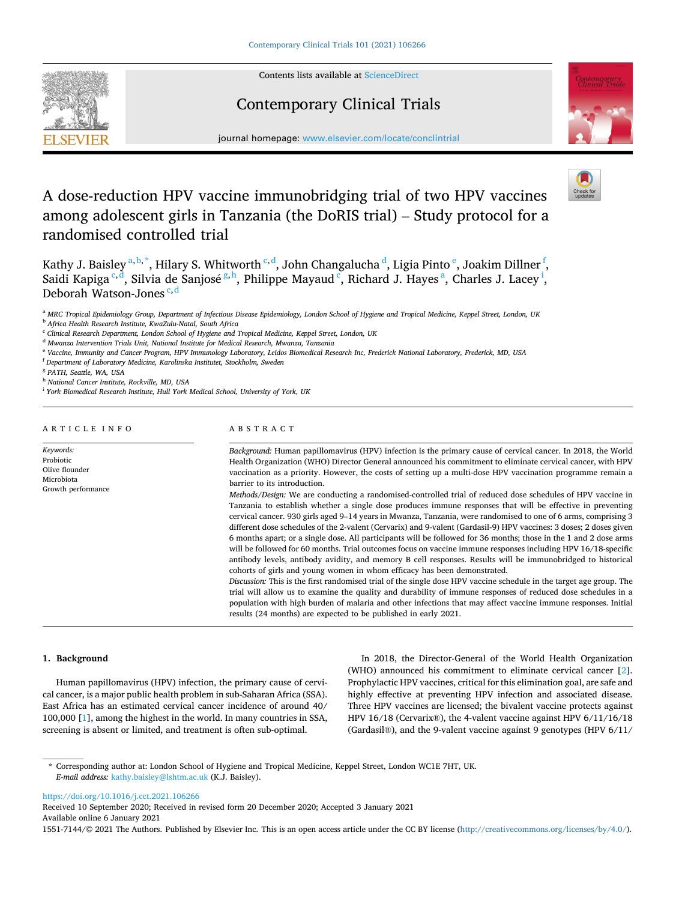Contents lists available at [ScienceDirect](www.sciencedirect.com/science/journal/15517144)

Contemporary Clinical Trials

# **SEVIER**



journal homepage: [www.elsevier.com/locate/conclintrial](https://www.elsevier.com/locate/conclintrial)

# A dose-reduction HPV vaccine immunobridging trial of two HPV vaccines among adolescent girls in Tanzania (the DoRIS trial) – Study protocol for a randomised controlled trial

Kathy J. Baisley <sup>a, b, \*</sup>, Hilary S. Whitworth <sup>c, d</sup>, John Changalucha <sup>d</sup>, Ligia Pinto <sup>e</sup>, Joakim Dillner <sup>f</sup>, Saidi Kapiga $\degree^{\circ d}$ , Silvia de Sanjosé $\degree^{\,h}$ , Philippe Mayaud $\degree$ , Richard J. Hayes $\degree$ , Charles J. Lacey $\degree$ , Deborah Watson-Jones  $c, d$ 

<sup>b</sup> *Africa Health Research Institute, KwaZulu-Natal, South Africa* 

<sup>d</sup> *Mwanza Intervention Trials Unit, National Institute for Medical Research, Mwanza, Tanzania* 

<sup>e</sup> *Vaccine, Immunity and Cancer Program, HPV Immunology Laboratory, Leidos Biomedical Research Inc, Frederick National Laboratory, Frederick, MD, USA* 

<sup>f</sup> *Department of Laboratory Medicine, Karolinska Institutet, Stockholm, Sweden* 

<sup>g</sup> *PATH, Seattle, WA, USA* 

<sup>h</sup> *National Cancer Institute, Rockville, MD, USA* 

<sup>i</sup> York Biomedical Research Institute, Hull York Medical School, University of York, UK

|  |  |  |  |  |  |  |  | ARTICLE INFO |  |  |  |
|--|--|--|--|--|--|--|--|--------------|--|--|--|
|--|--|--|--|--|--|--|--|--------------|--|--|--|

*Keywords:*  Probiotic Olive flounder Microbiota Growth performance

# ABSTRACT

*Background:* Human papillomavirus (HPV) infection is the primary cause of cervical cancer. In 2018, the World Health Organization (WHO) Director General announced his commitment to eliminate cervical cancer, with HPV vaccination as a priority. However, the costs of setting up a multi-dose HPV vaccination programme remain a barrier to its introduction.

*Methods/Design:* We are conducting a randomised-controlled trial of reduced dose schedules of HPV vaccine in Tanzania to establish whether a single dose produces immune responses that will be effective in preventing cervical cancer. 930 girls aged 9–14 years in Mwanza, Tanzania, were randomised to one of 6 arms, comprising 3 different dose schedules of the 2-valent (Cervarix) and 9-valent (Gardasil-9) HPV vaccines: 3 doses; 2 doses given 6 months apart; or a single dose. All participants will be followed for 36 months; those in the 1 and 2 dose arms will be followed for 60 months. Trial outcomes focus on vaccine immune responses including HPV 16/18-specific antibody levels, antibody avidity, and memory B cell responses. Results will be immunobridged to historical cohorts of girls and young women in whom efficacy has been demonstrated.

*Discussion:* This is the first randomised trial of the single dose HPV vaccine schedule in the target age group. The trial will allow us to examine the quality and durability of immune responses of reduced dose schedules in a population with high burden of malaria and other infections that may affect vaccine immune responses. Initial results (24 months) are expected to be published in early 2021.

# **1. Background**

Human papillomavirus (HPV) infection, the primary cause of cervical cancer, is a major public health problem in sub-Saharan Africa (SSA). East Africa has an estimated cervical cancer incidence of around 40/ 100,000 [\[1\]](#page-6-0), among the highest in the world. In many countries in SSA, screening is absent or limited, and treatment is often sub-optimal.

In 2018, the Director-General of the World Health Organization (WHO) announced his commitment to eliminate cervical cancer [[2](#page-6-0)]. Prophylactic HPV vaccines, critical for this elimination goal, are safe and highly effective at preventing HPV infection and associated disease. Three HPV vaccines are licensed; the bivalent vaccine protects against HPV 16/18 (Cervarix®), the 4-valent vaccine against HPV 6/11/16/18 (Gardasil®), and the 9-valent vaccine against 9 genotypes (HPV 6/11/

\* Corresponding author at: London School of Hygiene and Tropical Medicine, Keppel Street, London WC1E 7HT, UK. *E-mail address:* [kathy.baisley@lshtm.ac.uk](mailto:kathy.baisley@lshtm.ac.uk) (K.J. Baisley).

<https://doi.org/10.1016/j.cct.2021.106266>

Available online 6 January 2021 Received 10 September 2020; Received in revised form 20 December 2020; Accepted 3 January 2021

1551-7144/© 2021 The Authors. Published by Elsevier Inc. This is an open access article under the CC BY license(<http://creativecommons.org/licenses/by/4.0/>).

<sup>a</sup> *MRC Tropical Epidemiology Group, Department of Infectious Disease Epidemiology, London School of Hygiene and Tropical Medicine, Keppel Street, London, UK* 

<sup>c</sup> *Clinical Research Department, London School of Hygiene and Tropical Medicine, Keppel Street, London, UK*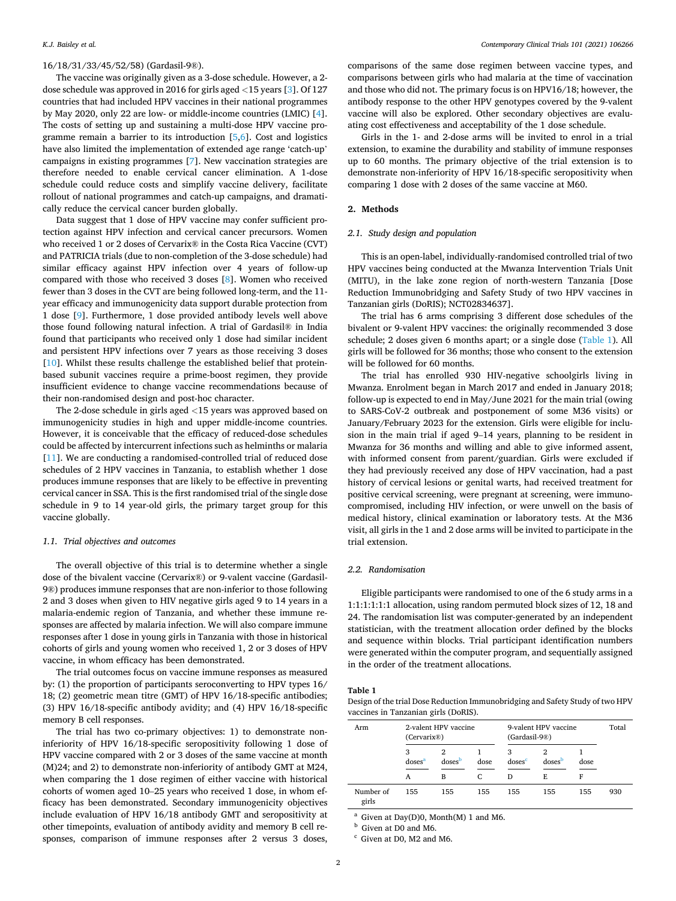# 16/18/31/33/45/52/58) (Gardasil-9®).

The vaccine was originally given as a 3-dose schedule. However, a 2 dose schedule was approved in 2016 for girls aged *<*15 years [\[3\]](#page-6-0). Of 127 countries that had included HPV vaccines in their national programmes by May 2020, only 22 are low- or middle-income countries (LMIC) [[4](#page-6-0)]. The costs of setting up and sustaining a multi-dose HPV vaccine programme remain a barrier to its introduction [\[5,6](#page-6-0)]. Cost and logistics have also limited the implementation of extended age range 'catch-up' campaigns in existing programmes [\[7\]](#page-6-0). New vaccination strategies are therefore needed to enable cervical cancer elimination. A 1-dose schedule could reduce costs and simplify vaccine delivery, facilitate rollout of national programmes and catch-up campaigns, and dramatically reduce the cervical cancer burden globally.

Data suggest that 1 dose of HPV vaccine may confer sufficient protection against HPV infection and cervical cancer precursors. Women who received 1 or 2 doses of Cervarix® in the Costa Rica Vaccine (CVT) and PATRICIA trials (due to non-completion of the 3-dose schedule) had similar efficacy against HPV infection over 4 years of follow-up compared with those who received 3 doses [\[8\]](#page-6-0). Women who received fewer than 3 doses in the CVT are being followed long-term, and the 11 year efficacy and immunogenicity data support durable protection from 1 dose [[9](#page-6-0)]. Furthermore, 1 dose provided antibody levels well above those found following natural infection. A trial of Gardasil® in India found that participants who received only 1 dose had similar incident and persistent HPV infections over 7 years as those receiving 3 doses [[10\]](#page-6-0). Whilst these results challenge the established belief that proteinbased subunit vaccines require a prime-boost regimen, they provide insufficient evidence to change vaccine recommendations because of their non-randomised design and post-hoc character.

The 2-dose schedule in girls aged *<*15 years was approved based on immunogenicity studies in high and upper middle-income countries. However, it is conceivable that the efficacy of reduced-dose schedules could be affected by intercurrent infections such as helminths or malaria [[11\]](#page-6-0). We are conducting a randomised-controlled trial of reduced dose schedules of 2 HPV vaccines in Tanzania, to establish whether 1 dose produces immune responses that are likely to be effective in preventing cervical cancer in SSA. This is the first randomised trial of the single dose schedule in 9 to 14 year-old girls, the primary target group for this vaccine globally.

# *1.1. Trial objectives and outcomes*

The overall objective of this trial is to determine whether a single dose of the bivalent vaccine (Cervarix®) or 9-valent vaccine (Gardasil-9®) produces immune responses that are non-inferior to those following 2 and 3 doses when given to HIV negative girls aged 9 to 14 years in a malaria-endemic region of Tanzania, and whether these immune responses are affected by malaria infection. We will also compare immune responses after 1 dose in young girls in Tanzania with those in historical cohorts of girls and young women who received 1, 2 or 3 doses of HPV vaccine, in whom efficacy has been demonstrated.

The trial outcomes focus on vaccine immune responses as measured by: (1) the proportion of participants seroconverting to HPV types 16/ 18; (2) geometric mean titre (GMT) of HPV 16/18-specific antibodies; (3) HPV 16/18-specific antibody avidity; and (4) HPV 16/18-specific memory B cell responses.

The trial has two co-primary objectives: 1) to demonstrate noninferiority of HPV 16/18-specific seropositivity following 1 dose of HPV vaccine compared with 2 or 3 doses of the same vaccine at month (M)24; and 2) to demonstrate non-inferiority of antibody GMT at M24, when comparing the 1 dose regimen of either vaccine with historical cohorts of women aged 10–25 years who received 1 dose, in whom efficacy has been demonstrated. Secondary immunogenicity objectives include evaluation of HPV 16/18 antibody GMT and seropositivity at other timepoints, evaluation of antibody avidity and memory B cell responses, comparison of immune responses after 2 versus 3 doses,

comparisons of the same dose regimen between vaccine types, and comparisons between girls who had malaria at the time of vaccination and those who did not. The primary focus is on HPV16/18; however, the antibody response to the other HPV genotypes covered by the 9-valent vaccine will also be explored. Other secondary objectives are evaluating cost effectiveness and acceptability of the 1 dose schedule.

Girls in the 1- and 2-dose arms will be invited to enrol in a trial extension, to examine the durability and stability of immune responses up to 60 months. The primary objective of the trial extension is to demonstrate non-inferiority of HPV 16/18-specific seropositivity when comparing 1 dose with 2 doses of the same vaccine at M60.

# **2. Methods**

#### *2.1. Study design and population*

This is an open-label, individually-randomised controlled trial of two HPV vaccines being conducted at the Mwanza Intervention Trials Unit (MITU), in the lake zone region of north-western Tanzania [Dose Reduction Immunobridging and Safety Study of two HPV vaccines in Tanzanian girls (DoRIS); NCT02834637].

The trial has 6 arms comprising 3 different dose schedules of the bivalent or 9-valent HPV vaccines: the originally recommended 3 dose schedule; 2 doses given 6 months apart; or a single dose (Table 1). All girls will be followed for 36 months; those who consent to the extension will be followed for 60 months.

The trial has enrolled 930 HIV-negative schoolgirls living in Mwanza. Enrolment began in March 2017 and ended in January 2018; follow-up is expected to end in May/June 2021 for the main trial (owing to SARS-CoV-2 outbreak and postponement of some M36 visits) or January/February 2023 for the extension. Girls were eligible for inclusion in the main trial if aged 9–14 years, planning to be resident in Mwanza for 36 months and willing and able to give informed assent, with informed consent from parent/guardian. Girls were excluded if they had previously received any dose of HPV vaccination, had a past history of cervical lesions or genital warts, had received treatment for positive cervical screening, were pregnant at screening, were immunocompromised, including HIV infection, or were unwell on the basis of medical history, clinical examination or laboratory tests. At the M36 visit, all girls in the 1 and 2 dose arms will be invited to participate in the trial extension.

# *2.2. Randomisation*

Eligible participants were randomised to one of the 6 study arms in a 1:1:1:1:1:1 allocation, using random permuted block sizes of 12, 18 and 24. The randomisation list was computer-generated by an independent statistician, with the treatment allocation order defined by the blocks and sequence within blocks. Trial participant identification numbers were generated within the computer program, and sequentially assigned in the order of the treatment allocations.

# **Table 1**

Design of the trial Dose Reduction Immunobridging and Safety Study of two HPV vaccines in Tanzanian girls (DoRIS).

| Arm                | (Cervarix@)             | 2-valent HPV vaccine |      | 9-valent HPV vaccine<br>(Gardasil-9®) | Total              |      |     |
|--------------------|-------------------------|----------------------|------|---------------------------------------|--------------------|------|-----|
|                    | 3<br>doses <sup>a</sup> | doses                | dose | 3<br>doses <sup>c</sup>               | doses <sup>b</sup> | dose |     |
|                    | A                       | в                    | C    | D                                     | E.                 |      |     |
| Number of<br>girls | 155                     | 155                  | 155  | 155                                   | 155                | 155  | 930 |

<sup>a</sup> Given at Day(D)0, Month(M) 1 and M6.<br><sup>b</sup> Given at D0 and M6. <sup>c</sup> Given at D0, M2 and M6.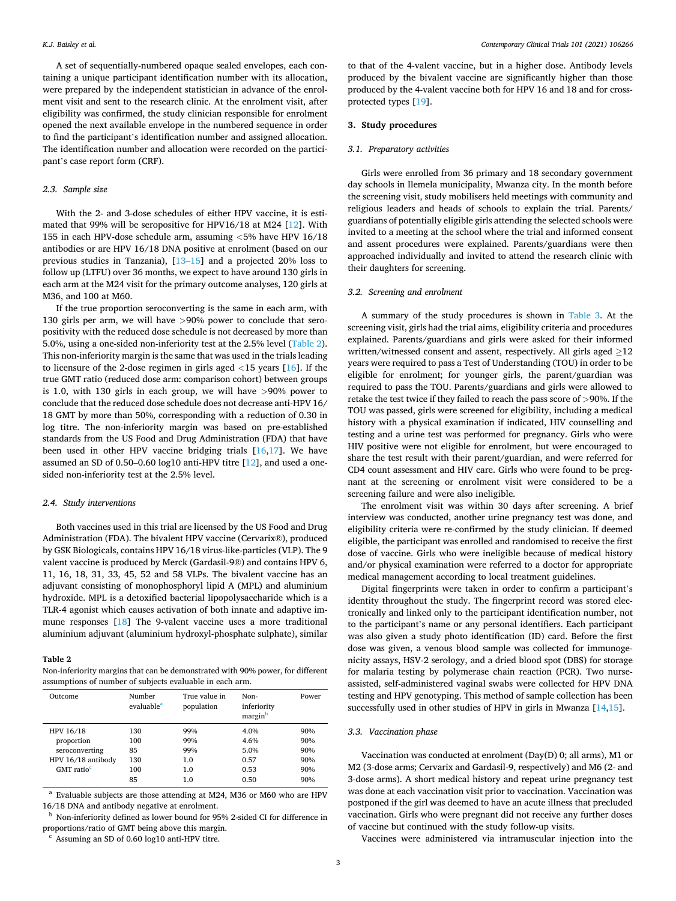A set of sequentially-numbered opaque sealed envelopes, each containing a unique participant identification number with its allocation, were prepared by the independent statistician in advance of the enrolment visit and sent to the research clinic. At the enrolment visit, after eligibility was confirmed, the study clinician responsible for enrolment opened the next available envelope in the numbered sequence in order to find the participant's identification number and assigned allocation. The identification number and allocation were recorded on the participant's case report form (CRF).

# *2.3. Sample size*

With the 2- and 3-dose schedules of either HPV vaccine, it is estimated that 99% will be seropositive for HPV16/18 at M24 [\[12](#page-6-0)]. With 155 in each HPV-dose schedule arm, assuming *<*5% have HPV 16/18 antibodies or are HPV 16/18 DNA positive at enrolment (based on our previous studies in Tanzania), [13–[15\]](#page-6-0) and a projected 20% loss to follow up (LTFU) over 36 months, we expect to have around 130 girls in each arm at the M24 visit for the primary outcome analyses, 120 girls at M36, and 100 at M60.

If the true proportion seroconverting is the same in each arm, with 130 girls per arm, we will have *>*90% power to conclude that seropositivity with the reduced dose schedule is not decreased by more than 5.0%, using a one-sided non-inferiority test at the 2.5% level (Table 2). This non-inferiority margin is the same that was used in the trials leading to licensure of the 2-dose regimen in girls aged *<*15 years [\[16](#page-6-0)]. If the true GMT ratio (reduced dose arm: comparison cohort) between groups is 1.0, with 130 girls in each group, we will have *>*90% power to conclude that the reduced dose schedule does not decrease anti-HPV 16/ 18 GMT by more than 50%, corresponding with a reduction of 0.30 in log titre. The non-inferiority margin was based on pre-established standards from the US Food and Drug Administration (FDA) that have been used in other HPV vaccine bridging trials [[16,17\]](#page-6-0). We have assumed an SD of 0.50–0.60 log10 anti-HPV titre [[12\]](#page-6-0), and used a onesided non-inferiority test at the 2.5% level.

#### *2.4. Study interventions*

Both vaccines used in this trial are licensed by the US Food and Drug Administration (FDA). The bivalent HPV vaccine (Cervarix®), produced by GSK Biologicals, contains HPV 16/18 virus-like-particles (VLP). The 9 valent vaccine is produced by Merck (Gardasil-9®) and contains HPV 6, 11, 16, 18, 31, 33, 45, 52 and 58 VLPs. The bivalent vaccine has an adjuvant consisting of monophosphoryl lipid A (MPL) and aluminium hydroxide. MPL is a detoxified bacterial lipopolysaccharide which is a TLR-4 agonist which causes activation of both innate and adaptive immune responses [\[18](#page-6-0)] The 9-valent vaccine uses a more traditional aluminium adjuvant (aluminium hydroxyl-phosphate sulphate), similar

#### **Table 2**

Non-inferiority margins that can be demonstrated with 90% power, for different assumptions of number of subjects evaluable in each arm.

| Outcome                | Number<br>evaluable <sup>a</sup> | True value in<br>population | Non-<br>inferiority<br>margin <sup>b</sup> | Power |
|------------------------|----------------------------------|-----------------------------|--------------------------------------------|-------|
| HPV 16/18              | 130                              | 99%                         | 4.0%                                       | 90%   |
| proportion             | 100                              | 99%                         | 4.6%                                       | 90%   |
| seroconverting         | 85                               | 99%                         | 5.0%                                       | 90%   |
| HPV 16/18 antibody     | 130                              | 1.0                         | 0.57                                       | 90%   |
| GMT ratio <sup>c</sup> | 100                              | 1.0                         | 0.53                                       | 90%   |
|                        | 85                               | 1.0                         | 0.50                                       | 90%   |

 $^{\rm a}$  Evaluable subjects are those attending at M24, M36 or M60 who are HPV 16/18 DNA and antibody negative at enrolment.

<sup>b</sup> Non-inferiority defined as lower bound for 95% 2-sided CI for difference in proportions/ratio of GMT being above this margin.<br><sup>c</sup> Assuming an SD of 0.60 log10 anti-HPV titre.

to that of the 4-valent vaccine, but in a higher dose. Antibody levels produced by the bivalent vaccine are significantly higher than those produced by the 4-valent vaccine both for HPV 16 and 18 and for crossprotected types [[19\]](#page-6-0).

# **3. Study procedures**

#### *3.1. Preparatory activities*

Girls were enrolled from 36 primary and 18 secondary government day schools in Ilemela municipality, Mwanza city. In the month before the screening visit, study mobilisers held meetings with community and religious leaders and heads of schools to explain the trial. Parents/ guardians of potentially eligible girls attending the selected schools were invited to a meeting at the school where the trial and informed consent and assent procedures were explained. Parents/guardians were then approached individually and invited to attend the research clinic with their daughters for screening.

# *3.2. Screening and enrolment*

A summary of the study procedures is shown in [Table 3.](#page-3-0) At the screening visit, girls had the trial aims, eligibility criteria and procedures explained. Parents/guardians and girls were asked for their informed written/witnessed consent and assent, respectively. All girls aged >12 years were required to pass a Test of Understanding (TOU) in order to be eligible for enrolment; for younger girls, the parent/guardian was required to pass the TOU. Parents/guardians and girls were allowed to retake the test twice if they failed to reach the pass score of *>*90%. If the TOU was passed, girls were screened for eligibility, including a medical history with a physical examination if indicated, HIV counselling and testing and a urine test was performed for pregnancy. Girls who were HIV positive were not eligible for enrolment, but were encouraged to share the test result with their parent/guardian, and were referred for CD4 count assessment and HIV care. Girls who were found to be pregnant at the screening or enrolment visit were considered to be a screening failure and were also ineligible.

The enrolment visit was within 30 days after screening. A brief interview was conducted, another urine pregnancy test was done, and eligibility criteria were re-confirmed by the study clinician. If deemed eligible, the participant was enrolled and randomised to receive the first dose of vaccine. Girls who were ineligible because of medical history and/or physical examination were referred to a doctor for appropriate medical management according to local treatment guidelines.

Digital fingerprints were taken in order to confirm a participant's identity throughout the study. The fingerprint record was stored electronically and linked only to the participant identification number, not to the participant's name or any personal identifiers. Each participant was also given a study photo identification (ID) card. Before the first dose was given, a venous blood sample was collected for immunogenicity assays, HSV-2 serology, and a dried blood spot (DBS) for storage for malaria testing by polymerase chain reaction (PCR). Two nurseassisted, self-administered vaginal swabs were collected for HPV DNA testing and HPV genotyping. This method of sample collection has been successfully used in other studies of HPV in girls in Mwanza [\[14,15](#page-6-0)].

#### *3.3. Vaccination phase*

Vaccination was conducted at enrolment (Day(D) 0; all arms), M1 or M2 (3-dose arms; Cervarix and Gardasil-9, respectively) and M6 (2- and 3-dose arms). A short medical history and repeat urine pregnancy test was done at each vaccination visit prior to vaccination. Vaccination was postponed if the girl was deemed to have an acute illness that precluded vaccination. Girls who were pregnant did not receive any further doses of vaccine but continued with the study follow-up visits.

Vaccines were administered via intramuscular injection into the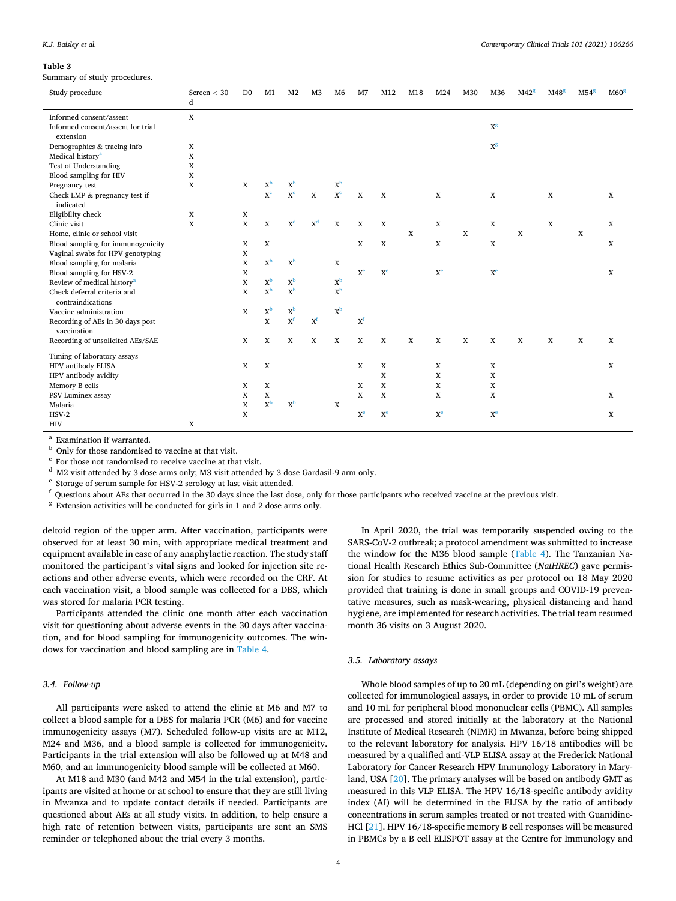#### *Contemporary Clinical Trials 101 (2021) 106266*

#### <span id="page-3-0"></span>**Table 3**

Summary of study procedures.

| Study procedure                                  | Screen $<$ 30<br>d | D <sub>0</sub> | M1                      | M <sub>2</sub>            | M <sub>3</sub>        | M <sub>6</sub> | M7                      | M12            | M18 | M24            | M30 | M36                     | M42 <sup>g</sup> | M48 <sup>g</sup> | M54 <sup>g</sup> | M60 <sup>g</sup> |
|--------------------------------------------------|--------------------|----------------|-------------------------|---------------------------|-----------------------|----------------|-------------------------|----------------|-----|----------------|-----|-------------------------|------------------|------------------|------------------|------------------|
| Informed consent/assent                          | $\mathbf X$        |                |                         |                           |                       |                |                         |                |     |                |     |                         |                  |                  |                  |                  |
| Informed consent/assent for trial<br>extension   |                    |                |                         |                           |                       |                |                         |                |     |                |     | $X^g$                   |                  |                  |                  |                  |
| Demographics & tracing info                      | X                  |                |                         |                           |                       |                |                         |                |     |                |     | $X^g$                   |                  |                  |                  |                  |
| Medical history <sup>a</sup>                     | X                  |                |                         |                           |                       |                |                         |                |     |                |     |                         |                  |                  |                  |                  |
| Test of Understanding                            | X                  |                |                         |                           |                       |                |                         |                |     |                |     |                         |                  |                  |                  |                  |
| Blood sampling for HIV                           | X                  |                |                         |                           |                       |                |                         |                |     |                |     |                         |                  |                  |                  |                  |
| Pregnancy test                                   | X                  | X              | $X^b$                   | $X^b$                     |                       | $X^b$          |                         |                |     |                |     |                         |                  |                  |                  |                  |
| Check LMP & pregnancy test if<br>indicated       |                    |                | $\mathbf{X}^\mathbf{c}$ | X <sup>c</sup>            | $\mathbf X$           | X <sup>c</sup> | $\mathbf X$             | $\mathbf X$    |     | X              |     | X                       |                  | X                |                  | $\mathbf X$      |
| Eligibility check                                | X                  | X              |                         |                           |                       |                |                         |                |     |                |     |                         |                  |                  |                  |                  |
| Clinic visit                                     | X                  | $\mathbf X$    | $\mathbf X$             | $\mathbf{X}^\mathrm{d}$   | $X^d$                 | $\mathbf X$    | X                       | X              |     | X              |     | X                       |                  | X                |                  | X                |
| Home, clinic or school visit                     |                    |                |                         |                           |                       |                |                         |                | X   |                | X   |                         | X                |                  | X                |                  |
| Blood sampling for immunogenicity                |                    | X              | $\mathbf X$             |                           |                       |                | $\mathbf X$             | X              |     | X              |     | X                       |                  |                  |                  | X                |
| Vaginal swabs for HPV genotyping                 |                    | X              |                         |                           |                       |                |                         |                |     |                |     |                         |                  |                  |                  |                  |
| Blood sampling for malaria                       |                    | X              | $X^b$                   | $X^{\rm b}$               |                       | X              |                         |                |     |                |     |                         |                  |                  |                  |                  |
| Blood sampling for HSV-2                         |                    | X              |                         |                           |                       |                | X <sup>e</sup>          | X <sup>e</sup> |     | X <sup>e</sup> |     | X <sup>e</sup>          |                  |                  |                  | X                |
| Review of medical history <sup>a</sup>           |                    | X              | $X^b$                   | $X^{\rm b}$               |                       | $X^b$          |                         |                |     |                |     |                         |                  |                  |                  |                  |
| Check deferral criteria and<br>contraindications |                    | X              | $x^b$                   | $\mathbf{x}^{\mathbf{b}}$ |                       | $x^b$          |                         |                |     |                |     |                         |                  |                  |                  |                  |
| Vaccine administration                           |                    | X              | $X^b$                   | $X^b$                     |                       | $X^b$          |                         |                |     |                |     |                         |                  |                  |                  |                  |
| Recording of AEs in 30 days post<br>vaccination  |                    |                | $\mathbf x$             | $X^f$                     | $\mathbf{X}^\text{f}$ |                | $X^f$                   |                |     |                |     |                         |                  |                  |                  |                  |
| Recording of unsolicited AEs/SAE                 |                    | X              | $\mathbf X$             | X                         | X                     | X              | X                       | X              | X   | $\mathbf X$    | X   | X                       | X                | X                | X                | X                |
| Timing of laboratory assays                      |                    |                |                         |                           |                       |                |                         |                |     |                |     |                         |                  |                  |                  |                  |
| HPV antibody ELISA                               |                    | X              | X                       |                           |                       |                | $\mathbf x$             | X              |     | X              |     | X                       |                  |                  |                  | X                |
| HPV antibody avidity                             |                    |                |                         |                           |                       |                |                         | X              |     | X              |     | X                       |                  |                  |                  |                  |
| Memory B cells                                   |                    | X              | $\mathbf x$             |                           |                       |                | X                       | X              |     | $\mathbf X$    |     | X                       |                  |                  |                  |                  |
| PSV Luminex assay                                |                    | X              | X                       |                           |                       |                | X                       | X              |     | X              |     | X                       |                  |                  |                  | X                |
| Malaria                                          |                    | X              | $X^{\rm b}$             | $X^{\rm b}$               |                       | X              |                         |                |     |                |     |                         |                  |                  |                  |                  |
| $HSV-2$                                          |                    | X              |                         |                           |                       |                | $\mathbf{X}^\mathbf{e}$ | X <sup>e</sup> |     | X <sup>e</sup> |     | $\mathbf{X}^\mathbf{e}$ |                  |                  |                  | $\mathbf X$      |
| <b>HIV</b>                                       | $\mathbf X$        |                |                         |                           |                       |                |                         |                |     |                |     |                         |                  |                  |                  |                  |

a Examination if warranted.<br>
b Only for those randomised to vaccine at that visit.<br>
c For those not randomised to receive vaccine at that visit.<br>
c For those not randomised to receive vaccine at that visit.<br>
d M2 visit at

deltoid region of the upper arm. After vaccination, participants were observed for at least 30 min, with appropriate medical treatment and equipment available in case of any anaphylactic reaction. The study staff monitored the participant's vital signs and looked for injection site reactions and other adverse events, which were recorded on the CRF. At each vaccination visit, a blood sample was collected for a DBS, which was stored for malaria PCR testing.

Participants attended the clinic one month after each vaccination visit for questioning about adverse events in the 30 days after vaccination, and for blood sampling for immunogenicity outcomes. The windows for vaccination and blood sampling are in [Table 4](#page-4-0).

# *3.4. Follow-up*

All participants were asked to attend the clinic at M6 and M7 to collect a blood sample for a DBS for malaria PCR (M6) and for vaccine immunogenicity assays (M7). Scheduled follow-up visits are at M12, M24 and M36, and a blood sample is collected for immunogenicity. Participants in the trial extension will also be followed up at M48 and M60, and an immunogenicity blood sample will be collected at M60.

At M18 and M30 (and M42 and M54 in the trial extension), participants are visited at home or at school to ensure that they are still living in Mwanza and to update contact details if needed. Participants are questioned about AEs at all study visits. In addition, to help ensure a high rate of retention between visits, participants are sent an SMS reminder or telephoned about the trial every 3 months.

In April 2020, the trial was temporarily suspended owing to the SARS-CoV-2 outbreak; a protocol amendment was submitted to increase the window for the M36 blood sample [\(Table 4\)](#page-4-0). The Tanzanian National Health Research Ethics Sub-Committee (*NatHREC*) gave permission for studies to resume activities as per protocol on 18 May 2020 provided that training is done in small groups and COVID-19 preventative measures, such as mask-wearing, physical distancing and hand hygiene, are implemented for research activities. The trial team resumed month 36 visits on 3 August 2020.

#### *3.5. Laboratory assays*

Whole blood samples of up to 20 mL (depending on girl's weight) are collected for immunological assays, in order to provide 10 mL of serum and 10 mL for peripheral blood mononuclear cells (PBMC). All samples are processed and stored initially at the laboratory at the National Institute of Medical Research (NIMR) in Mwanza, before being shipped to the relevant laboratory for analysis. HPV 16/18 antibodies will be measured by a qualified anti-VLP ELISA assay at the Frederick National Laboratory for Cancer Research HPV Immunology Laboratory in Maryland, USA [[20\]](#page-6-0). The primary analyses will be based on antibody GMT as measured in this VLP ELISA. The HPV 16/18-specific antibody avidity index (AI) will be determined in the ELISA by the ratio of antibody concentrations in serum samples treated or not treated with Guanidine-HCl [[21\]](#page-6-0). HPV 16/18-specific memory B cell responses will be measured in PBMCs by a B cell ELISPOT assay at the Centre for Immunology and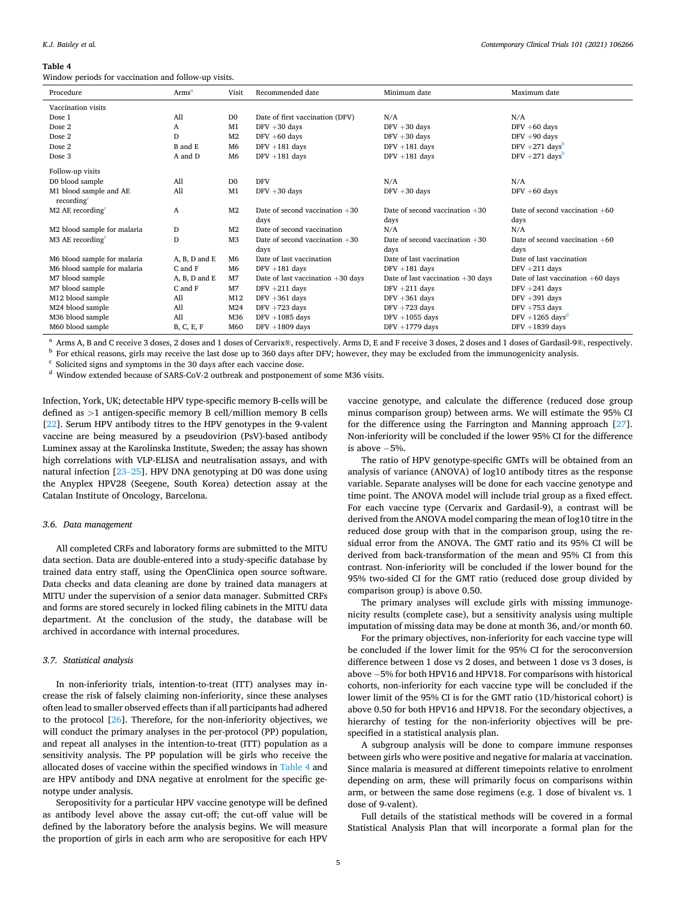#### <span id="page-4-0"></span>**Table 4**

Window periods for vaccination and follow-up visits.

| Procedure                                        | Arms <sup>a</sup> | Visit          | Recommended date                    | Minimum date                        | Maximum date                        |  |
|--------------------------------------------------|-------------------|----------------|-------------------------------------|-------------------------------------|-------------------------------------|--|
| Vaccination visits                               |                   |                |                                     |                                     |                                     |  |
| Dose 1                                           | A11               | D <sub>0</sub> | Date of first vaccination (DFV)     | N/A                                 | N/A                                 |  |
| Dose 2                                           | A                 | M1             | $DFV + 30$ days                     | $DFV + 30$ days                     | $DFV + 60$ days                     |  |
| Dose 2                                           | D                 | M <sub>2</sub> | $DFV + 60$ days                     | $DFV + 30$ days                     | $DFV + 90$ days                     |  |
| Dose 2                                           | B and E           | M <sub>6</sub> | $DFV + 181$ days                    | $DFV + 181$ days                    | DFV $+271$ days <sup>b</sup>        |  |
| Dose 3                                           | A and D           | M <sub>6</sub> | $DFV + 181$ days                    | $DFV + 181$ days                    | DFV $+271$ days <sup>b</sup>        |  |
| Follow-up visits                                 |                   |                |                                     |                                     |                                     |  |
| D0 blood sample                                  | A11               | D <sub>0</sub> | <b>DFV</b>                          | N/A                                 | N/A                                 |  |
| M1 blood sample and AE<br>recording <sup>c</sup> | A11               | M1             | $DFV + 30$ days                     | $DFV + 30$ days                     | $DFV + 60$ days                     |  |
| $M2$ AE recording <sup><math>c</math></sup>      | A                 | M <sub>2</sub> | Date of second vaccination $+30$    | Date of second vaccination $+30$    | Date of second vaccination $+60$    |  |
|                                                  |                   |                | days                                | days                                | days                                |  |
| M2 blood sample for malaria                      | D                 | M <sub>2</sub> | Date of second vaccination          | N/A                                 | N/A                                 |  |
| $M3$ AE recording <sup><math>c</math></sup>      | D                 | M <sub>3</sub> | Date of second vaccination $+30$    | Date of second vaccination $+30$    | Date of second vaccination $+60$    |  |
|                                                  |                   |                | days                                | days                                | days                                |  |
| M6 blood sample for malaria                      | A, B, D and E     | M <sub>6</sub> | Date of last vaccination            | Date of last vaccination            | Date of last vaccination            |  |
| M6 blood sample for malaria                      | C and F           | M <sub>6</sub> | $DFV + 181$ days                    | $DFV + 181$ days                    | $DFV + 211$ days                    |  |
| M7 blood sample                                  | A. B. D and E     | M <sub>7</sub> | Date of last vaccination $+30$ days | Date of last vaccination $+30$ days | Date of last vaccination $+60$ days |  |
| M7 blood sample                                  | C and F           | M <sub>7</sub> | $DFV + 211$ days                    | $DFV + 211$ days                    | $DFV + 241$ days                    |  |
| M12 blood sample                                 | A11               | M12            | $DFV + 361$ days                    | $DFV + 361$ days                    | $DFV + 391$ days                    |  |
| M24 blood sample                                 | A11               | M24            | $DFV + 723$ days                    | $DFV + 723$ days                    | $DFV + 753$ days                    |  |
| M36 blood sample                                 | A11               | M36            | $DFV + 1085$ days                   | $DFV + 1055$ days                   | DFV +1265 days <sup>d</sup>         |  |
| M60 blood sample                                 | B, C, E, F        | M60            | $DFV + 1809$ days                   | $DFV + 1779$ days                   | $DFV + 1839$ days                   |  |

 $^{\rm a}$  Arms A, B and C receive 3 doses, 2 doses and 1 doses of Cervarix®, respectively. Arms D, E and F receive 3 doses, 2 doses and 1 doses of Gardasil-9®, respectively. <br>b For ethical reasons, girls may receive the las

Infection, York, UK; detectable HPV type-specific memory B-cells will be defined as *>*1 antigen-specific memory B cell/million memory B cells [[22\]](#page-6-0). Serum HPV antibody titres to the HPV genotypes in the 9-valent vaccine are being measured by a pseudovirion (PsV)-based antibody Luminex assay at the Karolinska Institute, Sweden; the assay has shown high correlations with VLP-ELISA and neutralisation assays, and with natural infection [23–[25](#page-6-0)]. HPV DNA genotyping at D0 was done using the Anyplex HPV28 (Seegene, South Korea) detection assay at the Catalan Institute of Oncology, Barcelona.

#### *3.6. Data management*

All completed CRFs and laboratory forms are submitted to the MITU data section. Data are double-entered into a study-specific database by trained data entry staff, using the OpenClinica open source software. Data checks and data cleaning are done by trained data managers at MITU under the supervision of a senior data manager. Submitted CRFs and forms are stored securely in locked filing cabinets in the MITU data department. At the conclusion of the study, the database will be archived in accordance with internal procedures.

#### *3.7. Statistical analysis*

In non-inferiority trials, intention-to-treat (ITT) analyses may increase the risk of falsely claiming non-inferiority, since these analyses often lead to smaller observed effects than if all participants had adhered to the protocol [\[26](#page-6-0)]. Therefore, for the non-inferiority objectives, we will conduct the primary analyses in the per-protocol (PP) population, and repeat all analyses in the intention-to-treat (ITT) population as a sensitivity analysis. The PP population will be girls who receive the allocated doses of vaccine within the specified windows in Table 4 and are HPV antibody and DNA negative at enrolment for the specific genotype under analysis.

Seropositivity for a particular HPV vaccine genotype will be defined as antibody level above the assay cut-off; the cut-off value will be defined by the laboratory before the analysis begins. We will measure the proportion of girls in each arm who are seropositive for each HPV

vaccine genotype, and calculate the difference (reduced dose group minus comparison group) between arms. We will estimate the 95% CI for the difference using the Farrington and Manning approach [\[27](#page-6-0)]. Non-inferiority will be concluded if the lower 95% CI for the difference is above − 5%.

The ratio of HPV genotype-specific GMTs will be obtained from an analysis of variance (ANOVA) of log10 antibody titres as the response variable. Separate analyses will be done for each vaccine genotype and time point. The ANOVA model will include trial group as a fixed effect. For each vaccine type (Cervarix and Gardasil-9), a contrast will be derived from the ANOVA model comparing the mean of log10 titre in the reduced dose group with that in the comparison group, using the residual error from the ANOVA. The GMT ratio and its 95% CI will be derived from back-transformation of the mean and 95% CI from this contrast. Non-inferiority will be concluded if the lower bound for the 95% two-sided CI for the GMT ratio (reduced dose group divided by comparison group) is above 0.50.

The primary analyses will exclude girls with missing immunogenicity results (complete case), but a sensitivity analysis using multiple imputation of missing data may be done at month 36, and/or month 60.

For the primary objectives, non-inferiority for each vaccine type will be concluded if the lower limit for the 95% CI for the seroconversion difference between 1 dose vs 2 doses, and between 1 dose vs 3 doses, is above − 5% for both HPV16 and HPV18. For comparisons with historical cohorts, non-inferiority for each vaccine type will be concluded if the lower limit of the 95% CI is for the GMT ratio (1D/historical cohort) is above 0.50 for both HPV16 and HPV18. For the secondary objectives, a hierarchy of testing for the non-inferiority objectives will be prespecified in a statistical analysis plan.

A subgroup analysis will be done to compare immune responses between girls who were positive and negative for malaria at vaccination. Since malaria is measured at different timepoints relative to enrolment depending on arm, these will primarily focus on comparisons within arm, or between the same dose regimens (e.g. 1 dose of bivalent vs. 1 dose of 9-valent).

Full details of the statistical methods will be covered in a formal Statistical Analysis Plan that will incorporate a formal plan for the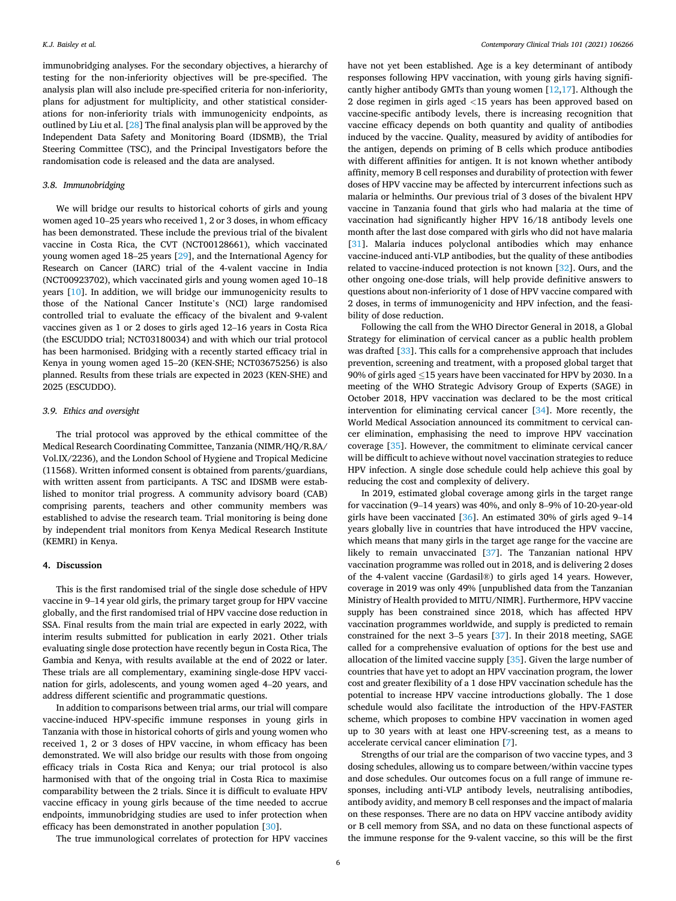immunobridging analyses. For the secondary objectives, a hierarchy of testing for the non-inferiority objectives will be pre-specified. The analysis plan will also include pre-specified criteria for non-inferiority, plans for adjustment for multiplicity, and other statistical considerations for non-inferiority trials with immunogenicity endpoints, as outlined by Liu et al. [[28\]](#page-6-0) The final analysis plan will be approved by the Independent Data Safety and Monitoring Board (IDSMB), the Trial Steering Committee (TSC), and the Principal Investigators before the randomisation code is released and the data are analysed.

#### *3.8. Immunobridging*

We will bridge our results to historical cohorts of girls and young women aged 10–25 years who received 1, 2 or 3 doses, in whom efficacy has been demonstrated. These include the previous trial of the bivalent vaccine in Costa Rica, the CVT (NCT00128661), which vaccinated young women aged 18–25 years [[29\]](#page-6-0), and the International Agency for Research on Cancer (IARC) trial of the 4-valent vaccine in India (NCT00923702), which vaccinated girls and young women aged 10–18 years [\[10](#page-6-0)]. In addition, we will bridge our immunogenicity results to those of the National Cancer Institute's (NCI) large randomised controlled trial to evaluate the efficacy of the bivalent and 9-valent vaccines given as 1 or 2 doses to girls aged 12–16 years in Costa Rica (the ESCUDDO trial; NCT03180034) and with which our trial protocol has been harmonised. Bridging with a recently started efficacy trial in Kenya in young women aged 15–20 (KEN-SHE; NCT03675256) is also planned. Results from these trials are expected in 2023 (KEN-SHE) and 2025 (ESCUDDO).

# *3.9. Ethics and oversight*

The trial protocol was approved by the ethical committee of the Medical Research Coordinating Committee, Tanzania (NIMR/HQ/R.8A/ Vol.IX/2236), and the London School of Hygiene and Tropical Medicine (11568). Written informed consent is obtained from parents/guardians, with written assent from participants. A TSC and IDSMB were established to monitor trial progress. A community advisory board (CAB) comprising parents, teachers and other community members was established to advise the research team. Trial monitoring is being done by independent trial monitors from Kenya Medical Research Institute (KEMRI) in Kenya.

# **4. Discussion**

This is the first randomised trial of the single dose schedule of HPV vaccine in 9–14 year old girls, the primary target group for HPV vaccine globally, and the first randomised trial of HPV vaccine dose reduction in SSA. Final results from the main trial are expected in early 2022, with interim results submitted for publication in early 2021. Other trials evaluating single dose protection have recently begun in Costa Rica, The Gambia and Kenya, with results available at the end of 2022 or later. These trials are all complementary, examining single-dose HPV vaccination for girls, adolescents, and young women aged 4–20 years, and address different scientific and programmatic questions.

In addition to comparisons between trial arms, our trial will compare vaccine-induced HPV-specific immune responses in young girls in Tanzania with those in historical cohorts of girls and young women who received 1, 2 or 3 doses of HPV vaccine, in whom efficacy has been demonstrated. We will also bridge our results with those from ongoing efficacy trials in Costa Rica and Kenya; our trial protocol is also harmonised with that of the ongoing trial in Costa Rica to maximise comparability between the 2 trials. Since it is difficult to evaluate HPV vaccine efficacy in young girls because of the time needed to accrue endpoints, immunobridging studies are used to infer protection when efficacy has been demonstrated in another population [\[30](#page-6-0)].

The true immunological correlates of protection for HPV vaccines

have not yet been established. Age is a key determinant of antibody responses following HPV vaccination, with young girls having significantly higher antibody GMTs than young women [[12,17](#page-6-0)]. Although the 2 dose regimen in girls aged *<*15 years has been approved based on vaccine-specific antibody levels, there is increasing recognition that vaccine efficacy depends on both quantity and quality of antibodies induced by the vaccine. Quality, measured by avidity of antibodies for the antigen, depends on priming of B cells which produce antibodies with different affinities for antigen. It is not known whether antibody affinity, memory B cell responses and durability of protection with fewer doses of HPV vaccine may be affected by intercurrent infections such as malaria or helminths. Our previous trial of 3 doses of the bivalent HPV vaccine in Tanzania found that girls who had malaria at the time of vaccination had significantly higher HPV 16/18 antibody levels one month after the last dose compared with girls who did not have malaria [[31\]](#page-6-0). Malaria induces polyclonal antibodies which may enhance vaccine-induced anti-VLP antibodies, but the quality of these antibodies related to vaccine-induced protection is not known [[32\]](#page-6-0). Ours, and the other ongoing one-dose trials, will help provide definitive answers to questions about non-inferiority of 1 dose of HPV vaccine compared with 2 doses, in terms of immunogenicity and HPV infection, and the feasibility of dose reduction.

Following the call from the WHO Director General in 2018, a Global Strategy for elimination of cervical cancer as a public health problem was drafted [[33\]](#page-6-0). This calls for a comprehensive approach that includes prevention, screening and treatment, with a proposed global target that 90% of girls aged ≤15 years have been vaccinated for HPV by 2030. In a meeting of the WHO Strategic Advisory Group of Experts (SAGE) in October 2018, HPV vaccination was declared to be the most critical intervention for eliminating cervical cancer [\[34](#page-6-0)]. More recently, the World Medical Association announced its commitment to cervical cancer elimination, emphasising the need to improve HPV vaccination coverage [\[35](#page-6-0)]. However, the commitment to eliminate cervical cancer will be difficult to achieve without novel vaccination strategies to reduce HPV infection. A single dose schedule could help achieve this goal by reducing the cost and complexity of delivery.

In 2019, estimated global coverage among girls in the target range for vaccination (9–14 years) was 40%, and only 8–9% of 10-20-year-old girls have been vaccinated  $[36]$  $[36]$ . An estimated 30% of girls aged 9–14 years globally live in countries that have introduced the HPV vaccine, which means that many girls in the target age range for the vaccine are likely to remain unvaccinated [\[37](#page-6-0)]. The Tanzanian national HPV vaccination programme was rolled out in 2018, and is delivering 2 doses of the 4-valent vaccine (Gardasil®) to girls aged 14 years. However, coverage in 2019 was only 49% [unpublished data from the Tanzanian Ministry of Health provided to MITU/NIMR]. Furthermore, HPV vaccine supply has been constrained since 2018, which has affected HPV vaccination programmes worldwide, and supply is predicted to remain constrained for the next 3–5 years [\[37](#page-6-0)]. In their 2018 meeting, SAGE called for a comprehensive evaluation of options for the best use and allocation of the limited vaccine supply [[35\]](#page-6-0). Given the large number of countries that have yet to adopt an HPV vaccination program, the lower cost and greater flexibility of a 1 dose HPV vaccination schedule has the potential to increase HPV vaccine introductions globally. The 1 dose schedule would also facilitate the introduction of the HPV-FASTER scheme, which proposes to combine HPV vaccination in women aged up to 30 years with at least one HPV-screening test, as a means to accelerate cervical cancer elimination [[7](#page-6-0)].

Strengths of our trial are the comparison of two vaccine types, and 3 dosing schedules, allowing us to compare between/within vaccine types and dose schedules. Our outcomes focus on a full range of immune responses, including anti-VLP antibody levels, neutralising antibodies, antibody avidity, and memory B cell responses and the impact of malaria on these responses. There are no data on HPV vaccine antibody avidity or B cell memory from SSA, and no data on these functional aspects of the immune response for the 9-valent vaccine, so this will be the first